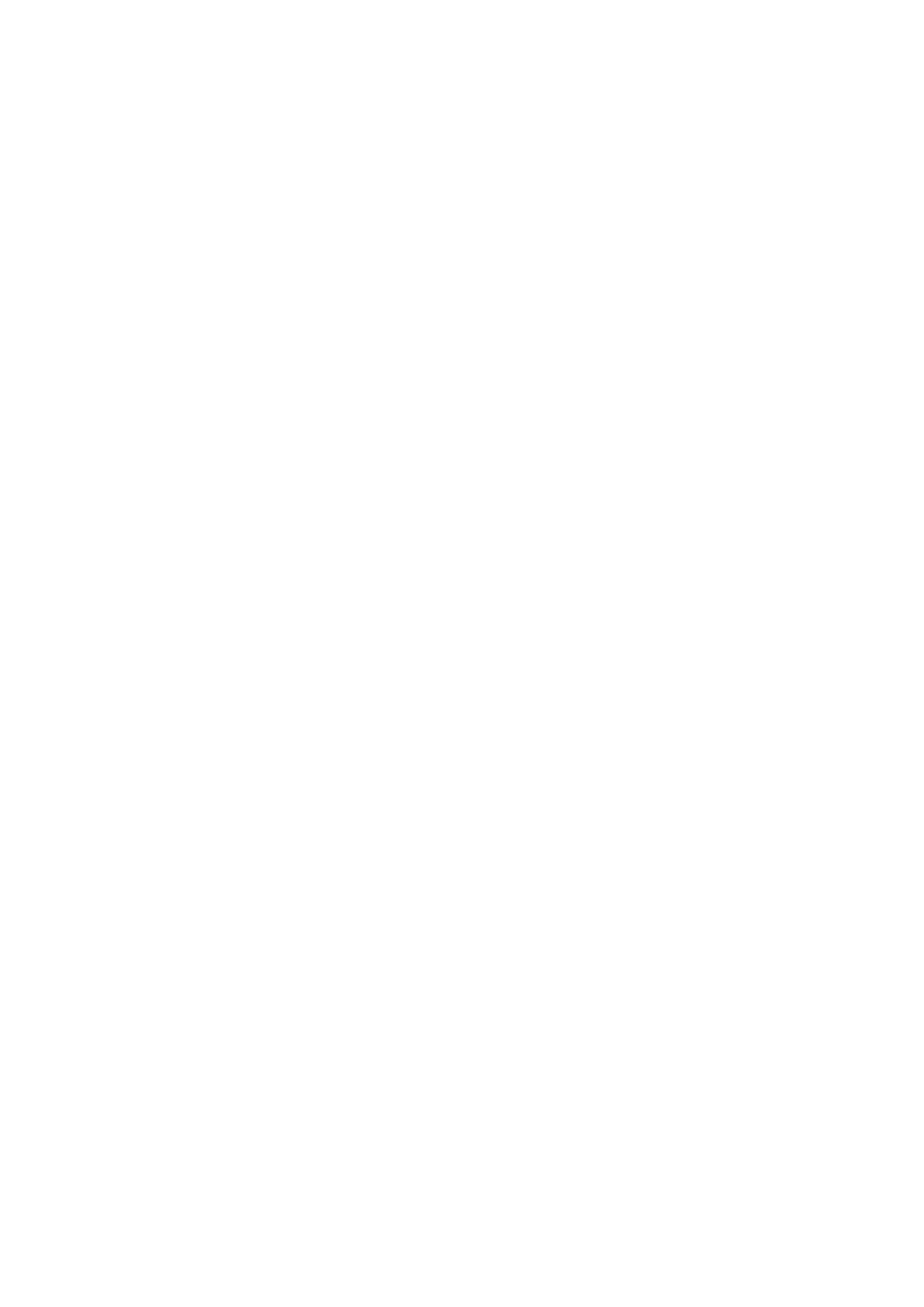# SVENSK STANDARD SS-ISO 19104:2016



Fastställd/Approved: 2016-09-29 Publicerad/Published: 2016-10-03 Utgåva/Edition: 1 Språk/Language: engelska/English ICS: 01.040.35; 35.020; 35.240.01; 35.240.30; 35.240.50; 35.240.60; 35.240.70

## **Geografisk information – Terminologi (ISO 19104:2016, IDT)**

**Geographic information – Terminology (ISO 19104:2016, IDT)**

This preview is downloaded from www.sis.se. Buy the entire standard via https://www.sis.se/std-8022667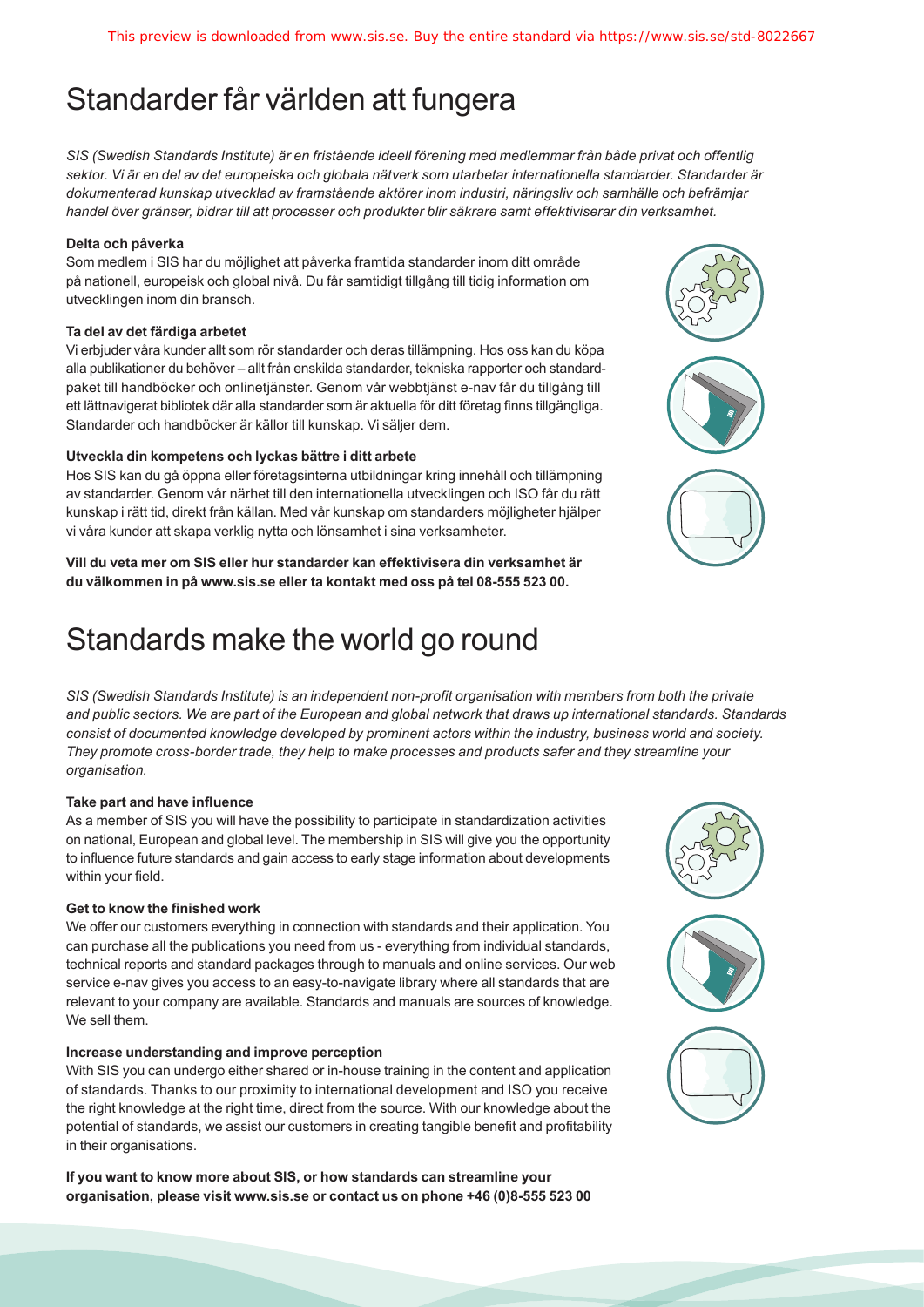## Standarder får världen att fungera

*SIS (Swedish Standards Institute) är en fristående ideell förening med medlemmar från både privat och offentlig sektor. Vi är en del av det europeiska och globala nätverk som utarbetar internationella standarder. Standarder är dokumenterad kunskap utvecklad av framstående aktörer inom industri, näringsliv och samhälle och befrämjar handel över gränser, bidrar till att processer och produkter blir säkrare samt effektiviserar din verksamhet.* 

#### **Delta och påverka**

Som medlem i SIS har du möjlighet att påverka framtida standarder inom ditt område på nationell, europeisk och global nivå. Du får samtidigt tillgång till tidig information om utvecklingen inom din bransch.

#### **Ta del av det färdiga arbetet**

Vi erbjuder våra kunder allt som rör standarder och deras tillämpning. Hos oss kan du köpa alla publikationer du behöver – allt från enskilda standarder, tekniska rapporter och standardpaket till handböcker och onlinetjänster. Genom vår webbtjänst e-nav får du tillgång till ett lättnavigerat bibliotek där alla standarder som är aktuella för ditt företag finns tillgängliga. Standarder och handböcker är källor till kunskap. Vi säljer dem.

#### **Utveckla din kompetens och lyckas bättre i ditt arbete**

Hos SIS kan du gå öppna eller företagsinterna utbildningar kring innehåll och tillämpning av standarder. Genom vår närhet till den internationella utvecklingen och ISO får du rätt kunskap i rätt tid, direkt från källan. Med vår kunskap om standarders möjligheter hjälper vi våra kunder att skapa verklig nytta och lönsamhet i sina verksamheter.

**Vill du veta mer om SIS eller hur standarder kan effektivisera din verksamhet är du välkommen in på www.sis.se eller ta kontakt med oss på tel 08-555 523 00.**

## Standards make the world go round

*SIS (Swedish Standards Institute) is an independent non-profit organisation with members from both the private and public sectors. We are part of the European and global network that draws up international standards. Standards consist of documented knowledge developed by prominent actors within the industry, business world and society. They promote cross-border trade, they help to make processes and products safer and they streamline your organisation.*

#### **Take part and have influence**

As a member of SIS you will have the possibility to participate in standardization activities on national, European and global level. The membership in SIS will give you the opportunity to influence future standards and gain access to early stage information about developments within your field.

#### **Get to know the finished work**

We offer our customers everything in connection with standards and their application. You can purchase all the publications you need from us - everything from individual standards, technical reports and standard packages through to manuals and online services. Our web service e-nav gives you access to an easy-to-navigate library where all standards that are relevant to your company are available. Standards and manuals are sources of knowledge. We sell them.

#### **Increase understanding and improve perception**

With SIS you can undergo either shared or in-house training in the content and application of standards. Thanks to our proximity to international development and ISO you receive the right knowledge at the right time, direct from the source. With our knowledge about the potential of standards, we assist our customers in creating tangible benefit and profitability in their organisations.

**If you want to know more about SIS, or how standards can streamline your organisation, please visit www.sis.se or contact us on phone +46 (0)8-555 523 00**



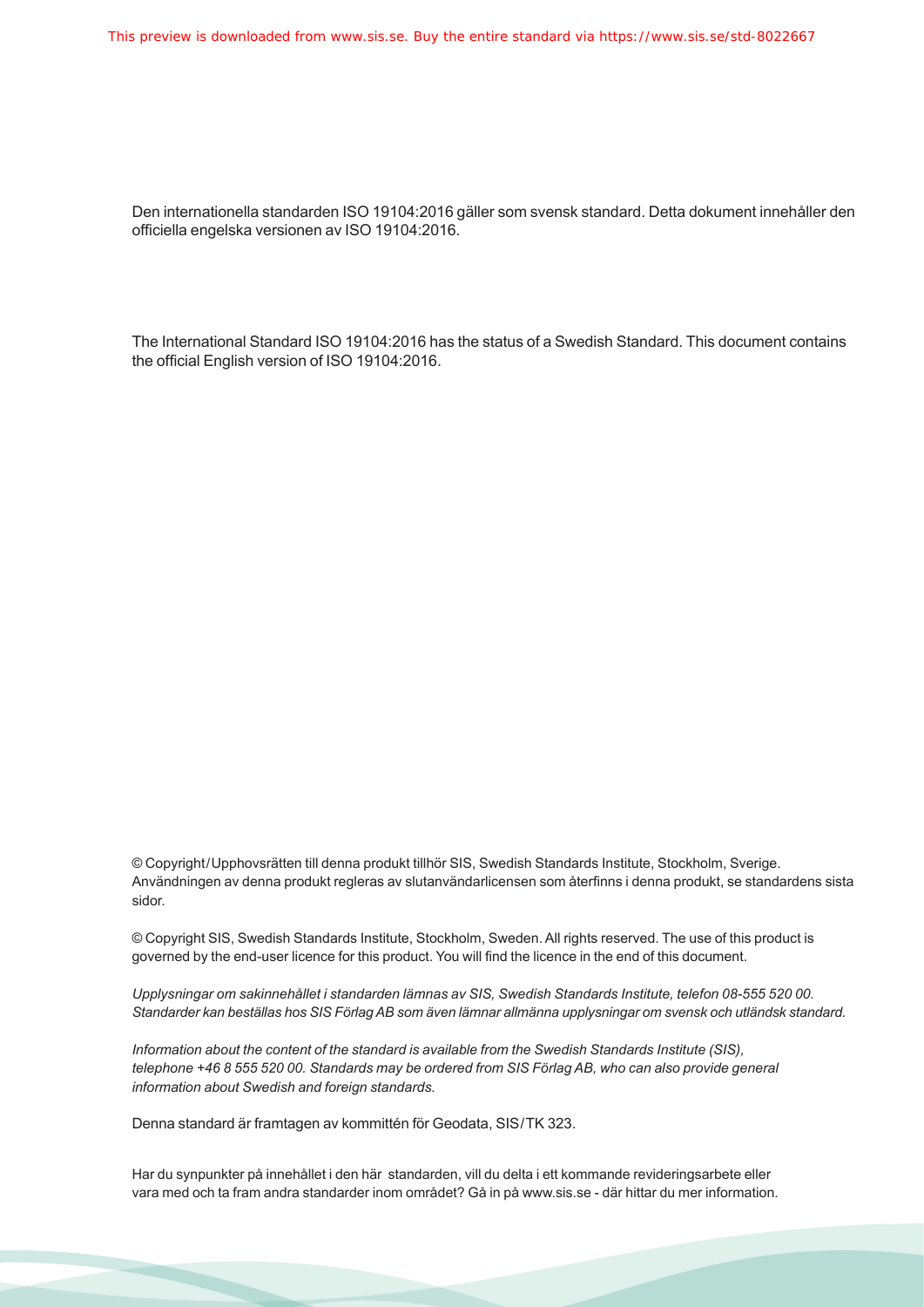Den internationella standarden ISO 19104:2016 gäller som svensk standard. Detta dokument innehåller den officiella engelska versionen av ISO 19104:2016.

The International Standard ISO 19104:2016 has the status of a Swedish Standard. This document contains the official English version of ISO 19104:2016.

© Copyright / Upphovsrätten till denna produkt tillhör SIS, Swedish Standards Institute, Stockholm, Sverige. Användningen av denna produkt regleras av slutanvändarlicensen som återfinns i denna produkt, se standardens sista sidor.

© Copyright SIS, Swedish Standards Institute, Stockholm, Sweden. All rights reserved. The use of this product is governed by the end-user licence for this product. You will find the licence in the end of this document.

*Upplysningar om sakinnehållet i standarden lämnas av SIS, Swedish Standards Institute, telefon 08-555 520 00. Standarder kan beställas hos SIS Förlag AB som även lämnar allmänna upplysningar om svensk och utländsk standard.*

*Information about the content of the standard is available from the Swedish Standards Institute (SIS), telephone +46 8 555 520 00. Standards may be ordered from SIS Förlag AB, who can also provide general information about Swedish and foreign standards.*

Denna standard är framtagen av kommittén för Geodata, SIS / TK 323.

Har du synpunkter på innehållet i den här standarden, vill du delta i ett kommande revideringsarbete eller vara med och ta fram andra standarder inom området? Gå in på www.sis.se - där hittar du mer information.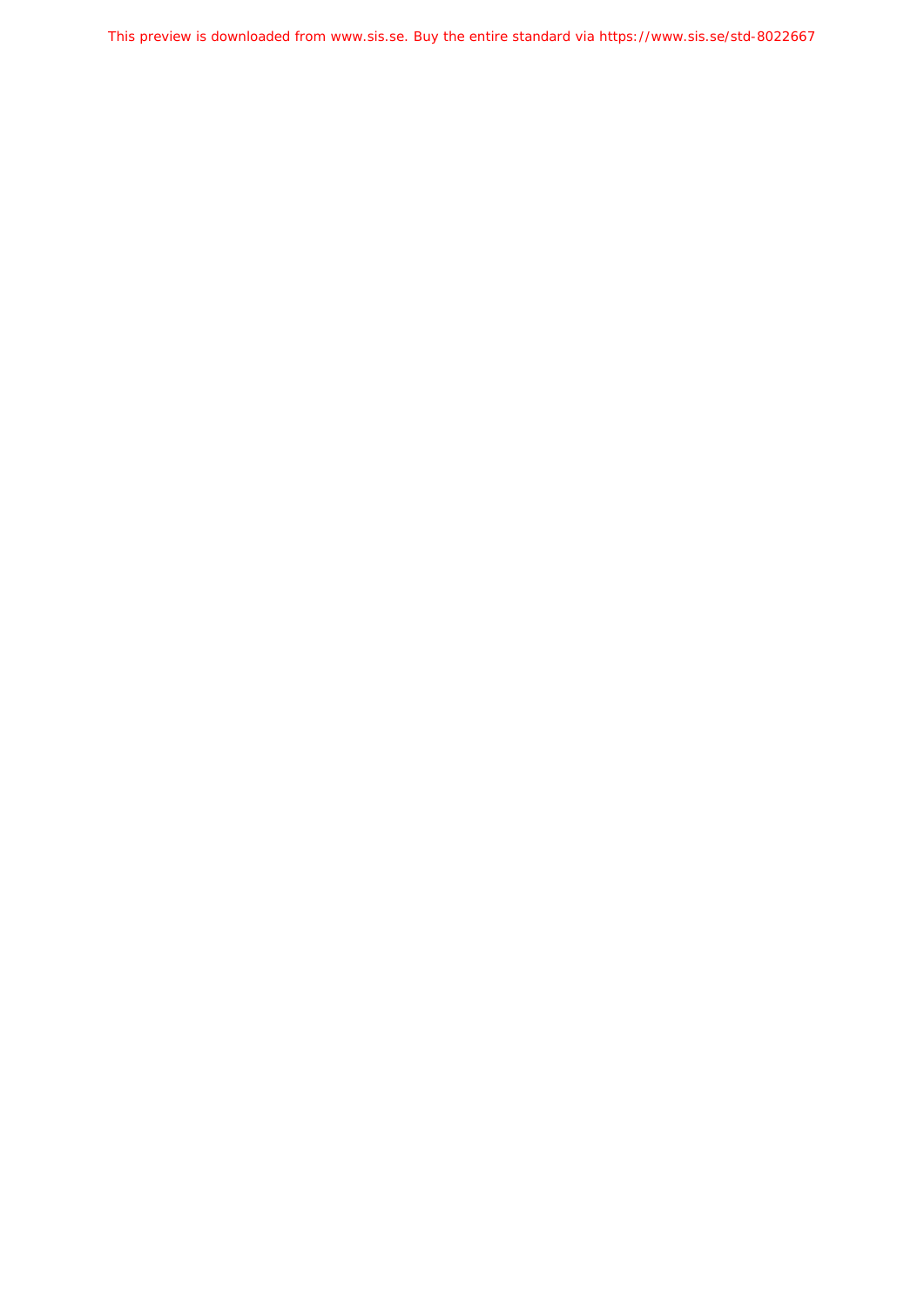This preview is downloaded from www.sis.se. Buy the entire standard via https://www.sis.se/std-8022667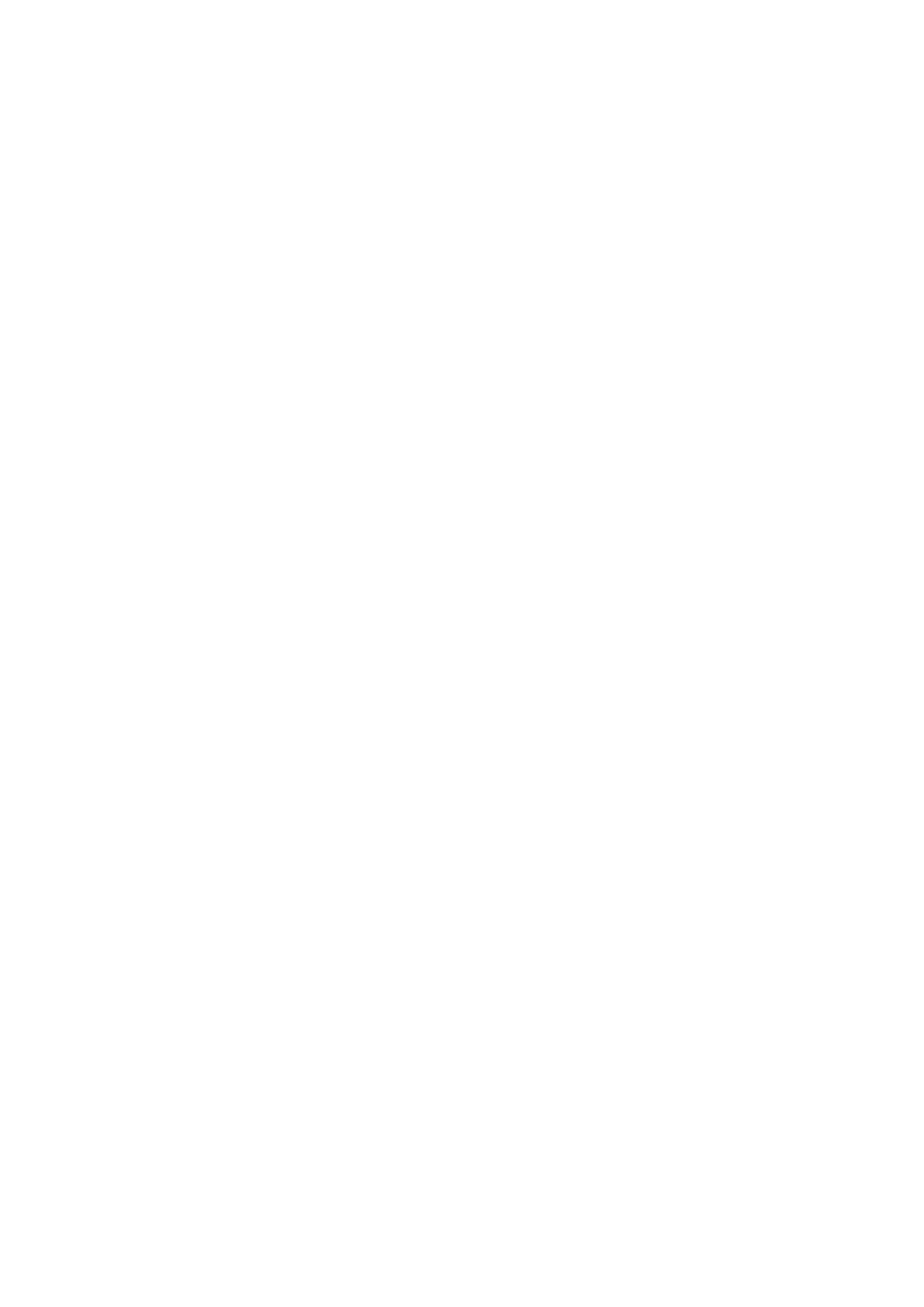| <b>Contents</b> |
|-----------------|
|-----------------|

|   |                                                                                                                                                                                                                                                                                              | $\textbf{For} \textbf{word} \textit{}{}\textit{}{}\textit{}{}\textit{}{}\textit{}{}\textit{}{}\textit{}{}\textit{}{}\textit{}{}\textit{}{}\textit{}{}\textit{}{}\textit{}{}\textit{}{}\textit{}{}\textit{}{}\textit{}{}\textit{}{}\textit{}{}\textit{}{}\textit{}{}\textit{}{}\textit{}{}\textit{}{}\textit{}{}\textit{}{}\textit{}{}\textit{}{}\textit{}{}\textit{$ |  |  |  |  |  |
|---|----------------------------------------------------------------------------------------------------------------------------------------------------------------------------------------------------------------------------------------------------------------------------------------------|----------------------------------------------------------------------------------------------------------------------------------------------------------------------------------------------------------------------------------------------------------------------------------------------------------------------------------------------------------------------|--|--|--|--|--|
|   |                                                                                                                                                                                                                                                                                              |                                                                                                                                                                                                                                                                                                                                                                      |  |  |  |  |  |
| 1 |                                                                                                                                                                                                                                                                                              |                                                                                                                                                                                                                                                                                                                                                                      |  |  |  |  |  |
| 2 | $Conformance ________ ________ ________ ________ ________ ________ ________ ________ ________ ________ ________ ________ ________ ________ ________ ________ ________ ________ ________ ________ ________ ________ ________ ________ ________ ________ ________ ________ ________ ________ $ |                                                                                                                                                                                                                                                                                                                                                                      |  |  |  |  |  |
|   | 2.1                                                                                                                                                                                                                                                                                          |                                                                                                                                                                                                                                                                                                                                                                      |  |  |  |  |  |
|   | 2.2                                                                                                                                                                                                                                                                                          |                                                                                                                                                                                                                                                                                                                                                                      |  |  |  |  |  |
|   |                                                                                                                                                                                                                                                                                              | 2.2.1                                                                                                                                                                                                                                                                                                                                                                |  |  |  |  |  |
|   |                                                                                                                                                                                                                                                                                              | 2.2.2                                                                                                                                                                                                                                                                                                                                                                |  |  |  |  |  |
|   |                                                                                                                                                                                                                                                                                              | 2.2.3                                                                                                                                                                                                                                                                                                                                                                |  |  |  |  |  |
|   |                                                                                                                                                                                                                                                                                              | 2.2.4                                                                                                                                                                                                                                                                                                                                                                |  |  |  |  |  |
|   |                                                                                                                                                                                                                                                                                              | 2.2.5                                                                                                                                                                                                                                                                                                                                                                |  |  |  |  |  |
|   |                                                                                                                                                                                                                                                                                              | 2.2.6                                                                                                                                                                                                                                                                                                                                                                |  |  |  |  |  |
|   |                                                                                                                                                                                                                                                                                              | 2.3                                                                                                                                                                                                                                                                                                                                                                  |  |  |  |  |  |
|   |                                                                                                                                                                                                                                                                                              | 2.3.1<br>2.3.2                                                                                                                                                                                                                                                                                                                                                       |  |  |  |  |  |
|   |                                                                                                                                                                                                                                                                                              | 2.3.3                                                                                                                                                                                                                                                                                                                                                                |  |  |  |  |  |
|   |                                                                                                                                                                                                                                                                                              | 2.3.4                                                                                                                                                                                                                                                                                                                                                                |  |  |  |  |  |
|   |                                                                                                                                                                                                                                                                                              | 2.3.5                                                                                                                                                                                                                                                                                                                                                                |  |  |  |  |  |
|   |                                                                                                                                                                                                                                                                                              |                                                                                                                                                                                                                                                                                                                                                                      |  |  |  |  |  |
| 3 |                                                                                                                                                                                                                                                                                              |                                                                                                                                                                                                                                                                                                                                                                      |  |  |  |  |  |
| 4 |                                                                                                                                                                                                                                                                                              |                                                                                                                                                                                                                                                                                                                                                                      |  |  |  |  |  |
| 5 |                                                                                                                                                                                                                                                                                              |                                                                                                                                                                                                                                                                                                                                                                      |  |  |  |  |  |
| 6 |                                                                                                                                                                                                                                                                                              |                                                                                                                                                                                                                                                                                                                                                                      |  |  |  |  |  |
|   |                                                                                                                                                                                                                                                                                              |                                                                                                                                                                                                                                                                                                                                                                      |  |  |  |  |  |
| 7 | 7.1                                                                                                                                                                                                                                                                                          |                                                                                                                                                                                                                                                                                                                                                                      |  |  |  |  |  |
|   |                                                                                                                                                                                                                                                                                              |                                                                                                                                                                                                                                                                                                                                                                      |  |  |  |  |  |
|   | 7.3                                                                                                                                                                                                                                                                                          | 7.2                                                                                                                                                                                                                                                                                                                                                                  |  |  |  |  |  |
|   | 7.4                                                                                                                                                                                                                                                                                          |                                                                                                                                                                                                                                                                                                                                                                      |  |  |  |  |  |
|   | 7.5                                                                                                                                                                                                                                                                                          |                                                                                                                                                                                                                                                                                                                                                                      |  |  |  |  |  |
| 8 |                                                                                                                                                                                                                                                                                              |                                                                                                                                                                                                                                                                                                                                                                      |  |  |  |  |  |
|   | 8.1                                                                                                                                                                                                                                                                                          |                                                                                                                                                                                                                                                                                                                                                                      |  |  |  |  |  |
|   | 8.2                                                                                                                                                                                                                                                                                          |                                                                                                                                                                                                                                                                                                                                                                      |  |  |  |  |  |
|   |                                                                                                                                                                                                                                                                                              | 8.2.1                                                                                                                                                                                                                                                                                                                                                                |  |  |  |  |  |
|   |                                                                                                                                                                                                                                                                                              | 8.2.2 Requirement — Terminological entry content <b>Exercise 2018</b> 15                                                                                                                                                                                                                                                                                             |  |  |  |  |  |
|   | 8.3                                                                                                                                                                                                                                                                                          |                                                                                                                                                                                                                                                                                                                                                                      |  |  |  |  |  |
|   |                                                                                                                                                                                                                                                                                              | 8.3.1                                                                                                                                                                                                                                                                                                                                                                |  |  |  |  |  |
|   |                                                                                                                                                                                                                                                                                              | 8.3.2                                                                                                                                                                                                                                                                                                                                                                |  |  |  |  |  |
|   |                                                                                                                                                                                                                                                                                              | 8.3.3                                                                                                                                                                                                                                                                                                                                                                |  |  |  |  |  |
|   |                                                                                                                                                                                                                                                                                              | 8.3.4                                                                                                                                                                                                                                                                                                                                                                |  |  |  |  |  |
|   |                                                                                                                                                                                                                                                                                              | 8.3.5                                                                                                                                                                                                                                                                                                                                                                |  |  |  |  |  |
|   |                                                                                                                                                                                                                                                                                              | 8.3.6                                                                                                                                                                                                                                                                                                                                                                |  |  |  |  |  |
|   |                                                                                                                                                                                                                                                                                              | 8.3.7                                                                                                                                                                                                                                                                                                                                                                |  |  |  |  |  |
|   |                                                                                                                                                                                                                                                                                              | 8.3.8                                                                                                                                                                                                                                                                                                                                                                |  |  |  |  |  |
|   |                                                                                                                                                                                                                                                                                              | 8.3.9<br>8.3.10                                                                                                                                                                                                                                                                                                                                                      |  |  |  |  |  |
|   |                                                                                                                                                                                                                                                                                              | 8.3.11                                                                                                                                                                                                                                                                                                                                                               |  |  |  |  |  |
|   | 8.4                                                                                                                                                                                                                                                                                          |                                                                                                                                                                                                                                                                                                                                                                      |  |  |  |  |  |
|   |                                                                                                                                                                                                                                                                                              | 8.4.1                                                                                                                                                                                                                                                                                                                                                                |  |  |  |  |  |
|   |                                                                                                                                                                                                                                                                                              | 8.4.2                                                                                                                                                                                                                                                                                                                                                                |  |  |  |  |  |
|   |                                                                                                                                                                                                                                                                                              | 8.4.3                                                                                                                                                                                                                                                                                                                                                                |  |  |  |  |  |
| 9 |                                                                                                                                                                                                                                                                                              |                                                                                                                                                                                                                                                                                                                                                                      |  |  |  |  |  |
|   | 9.1                                                                                                                                                                                                                                                                                          |                                                                                                                                                                                                                                                                                                                                                                      |  |  |  |  |  |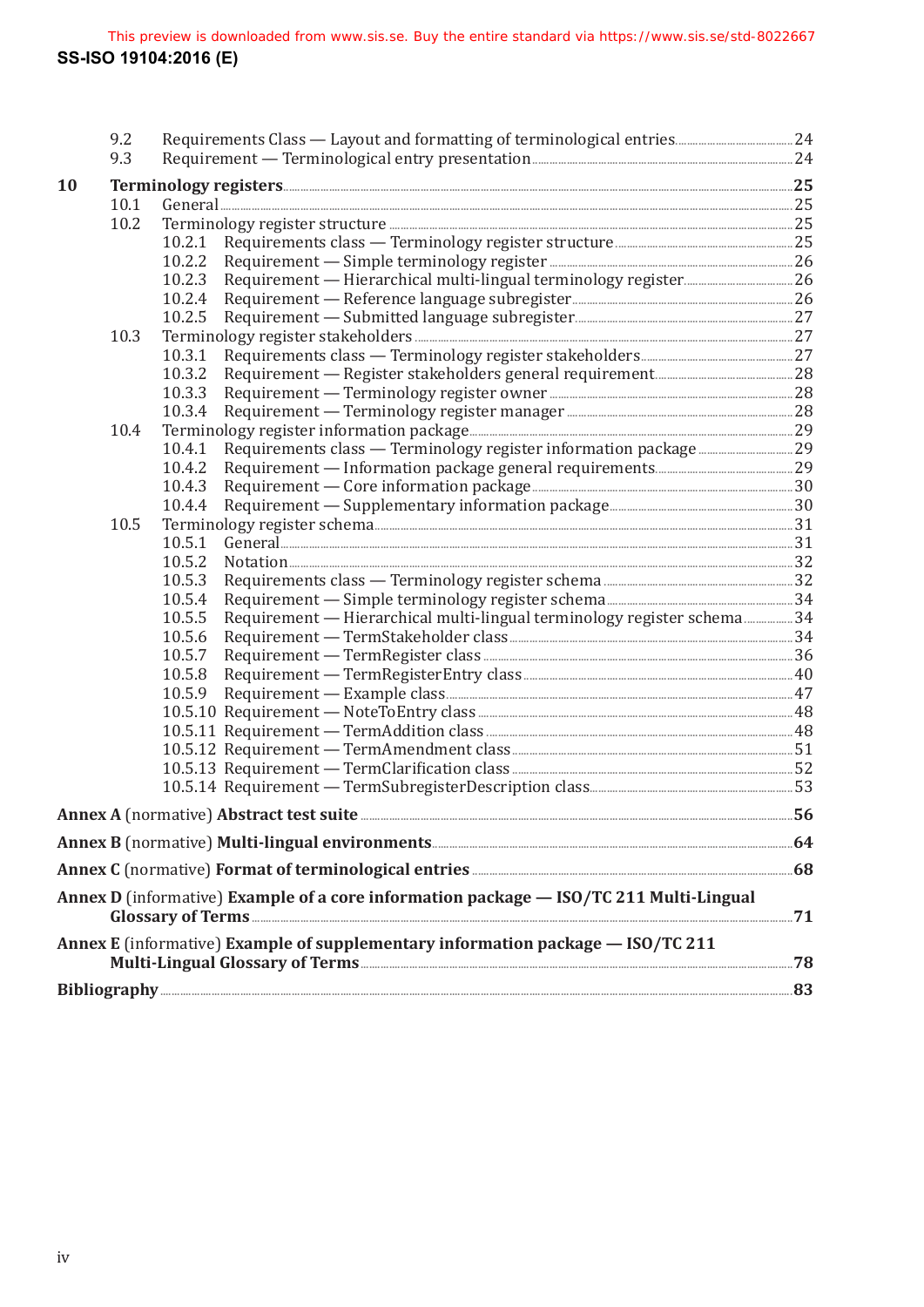|    | 9.2  |                                                                                                                                                                                                                                      |  |  |  |  |
|----|------|--------------------------------------------------------------------------------------------------------------------------------------------------------------------------------------------------------------------------------------|--|--|--|--|
|    | 9.3  |                                                                                                                                                                                                                                      |  |  |  |  |
| 10 |      |                                                                                                                                                                                                                                      |  |  |  |  |
|    | 10.1 |                                                                                                                                                                                                                                      |  |  |  |  |
|    | 10.2 |                                                                                                                                                                                                                                      |  |  |  |  |
|    |      |                                                                                                                                                                                                                                      |  |  |  |  |
|    |      |                                                                                                                                                                                                                                      |  |  |  |  |
|    |      | 10.2.3                                                                                                                                                                                                                               |  |  |  |  |
|    |      | 10.2.4                                                                                                                                                                                                                               |  |  |  |  |
|    |      | 10.2.5                                                                                                                                                                                                                               |  |  |  |  |
|    | 10.3 |                                                                                                                                                                                                                                      |  |  |  |  |
|    |      | 10.3.1<br>10.3.2                                                                                                                                                                                                                     |  |  |  |  |
|    |      | 10.3.3                                                                                                                                                                                                                               |  |  |  |  |
|    |      | 10.3.4                                                                                                                                                                                                                               |  |  |  |  |
|    | 10.4 |                                                                                                                                                                                                                                      |  |  |  |  |
|    |      | 10.4.1                                                                                                                                                                                                                               |  |  |  |  |
|    |      | 10.4.2                                                                                                                                                                                                                               |  |  |  |  |
|    |      | 10.4.3                                                                                                                                                                                                                               |  |  |  |  |
|    |      | 10.4.4                                                                                                                                                                                                                               |  |  |  |  |
|    | 10.5 |                                                                                                                                                                                                                                      |  |  |  |  |
|    |      | 10.5.1                                                                                                                                                                                                                               |  |  |  |  |
|    |      | 10.5.2                                                                                                                                                                                                                               |  |  |  |  |
|    |      | 10.5.3                                                                                                                                                                                                                               |  |  |  |  |
|    |      | 10.5.4                                                                                                                                                                                                                               |  |  |  |  |
|    |      | Requirement - Hierarchical multi-lingual terminology register schema 34<br>10.5.5                                                                                                                                                    |  |  |  |  |
|    |      | 10.5.6                                                                                                                                                                                                                               |  |  |  |  |
|    |      | 10.5.7                                                                                                                                                                                                                               |  |  |  |  |
|    |      | 10.5.8                                                                                                                                                                                                                               |  |  |  |  |
|    |      | 10.5.9                                                                                                                                                                                                                               |  |  |  |  |
|    |      |                                                                                                                                                                                                                                      |  |  |  |  |
|    |      |                                                                                                                                                                                                                                      |  |  |  |  |
|    |      |                                                                                                                                                                                                                                      |  |  |  |  |
|    |      |                                                                                                                                                                                                                                      |  |  |  |  |
|    |      |                                                                                                                                                                                                                                      |  |  |  |  |
|    |      | Annex A (normative) Abstract test suite <b>Executive</b> Suite and Security 36                                                                                                                                                       |  |  |  |  |
|    |      |                                                                                                                                                                                                                                      |  |  |  |  |
|    |      | Annex C (normative) Format of terminological entries <b>Manual Engineerian Constant Constant Constant Constant Constant Constant Constant Constant Constant Constant Constant Constant Constant Constant Constant Constant Const</b> |  |  |  |  |
|    |      | Annex D (informative) Example of a core information package - ISO/TC 211 Multi-Lingual                                                                                                                                               |  |  |  |  |
|    |      |                                                                                                                                                                                                                                      |  |  |  |  |
|    |      | Annex E (informative) Example of supplementary information package - ISO/TC 211                                                                                                                                                      |  |  |  |  |
|    |      |                                                                                                                                                                                                                                      |  |  |  |  |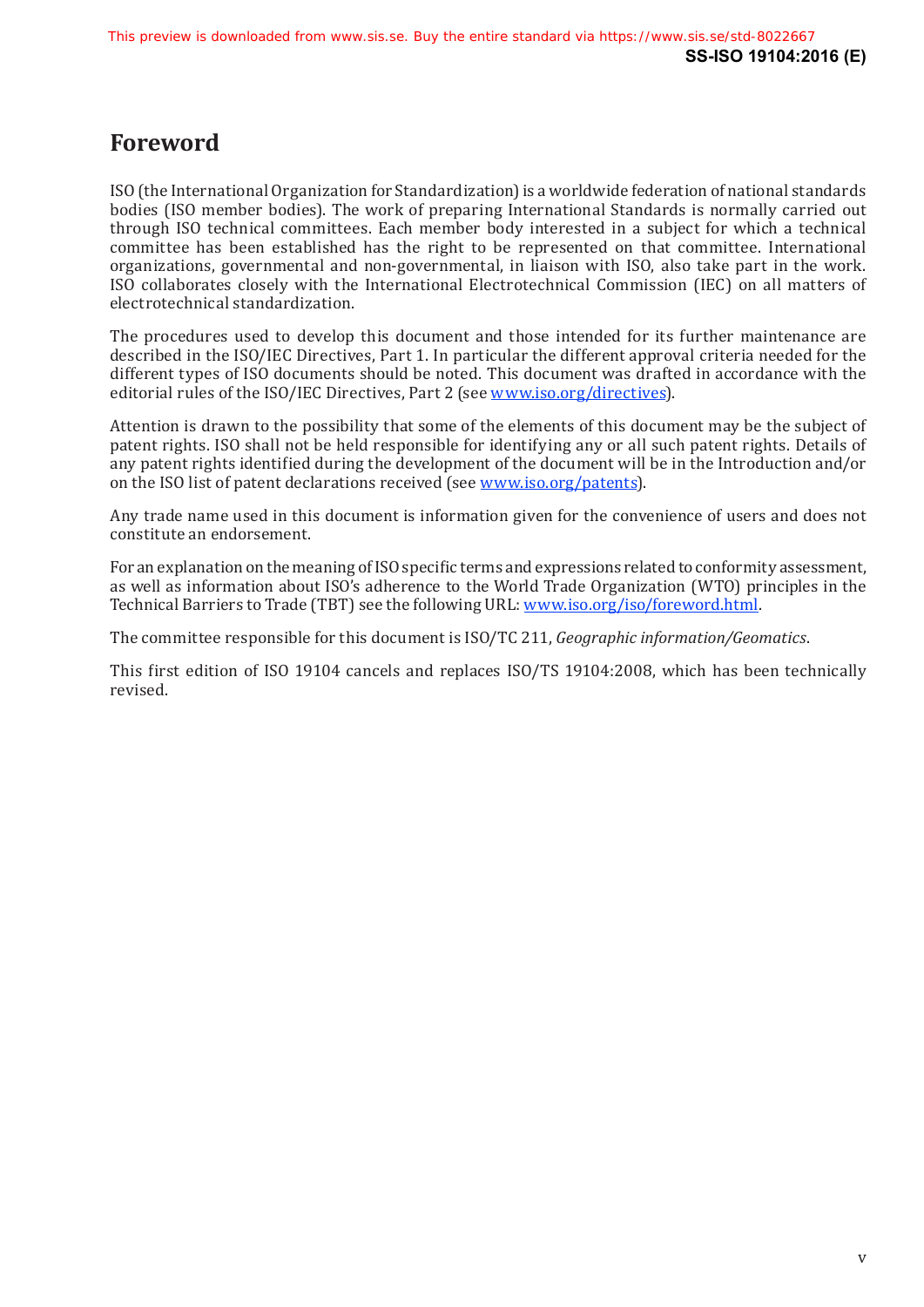### **Foreword**

ISO (the International Organization for Standardization) is a worldwide federation of national standards bodies (ISO member bodies). The work of preparing International Standards is normally carried out through ISO technical committees. Each member body interested in a subject for which a technical committee has been established has the right to be represented on that committee. International organizations, governmental and non-governmental, in liaison with ISO, also take part in the work. ISO collaborates closely with the International Electrotechnical Commission (IEC) on all matters of electrotechnical standardization.

The procedures used to develop this document and those intended for its further maintenance are described in the ISO/IEC Directives, Part 1. In particular the different approval criteria needed for the different types of ISO documents should be noted. This document was drafted in accordance with the editorial rules of the ISO/IEC Directives, Part 2 (see www.iso.org/directives).

Attention is drawn to the possibility that some of the elements of this document may be the subject of patent rights. ISO shall not be held responsible for identifying any or all such patent rights. Details of any patent rights identified during the development of the document will be in the Introduction and/or on the ISO list of patent declarations received (see www.iso.org/patents).

Any trade name used in this document is information given for the convenience of users and does not constitute an endorsement.

For an explanation on the meaning of ISO specific terms and expressions related to conformity assessment, as well as information about ISO's adherence to the World Trade Organization (WTO) principles in the Technical Barriers to Trade (TBT) see the following URL: www.iso.org/iso/foreword.html.

The committee responsible for this document is ISO/TC 211, *Geographic information/Geomatics*.

This first edition of ISO 19104 cancels and replaces ISO/TS 19104:2008, which has been technically revised.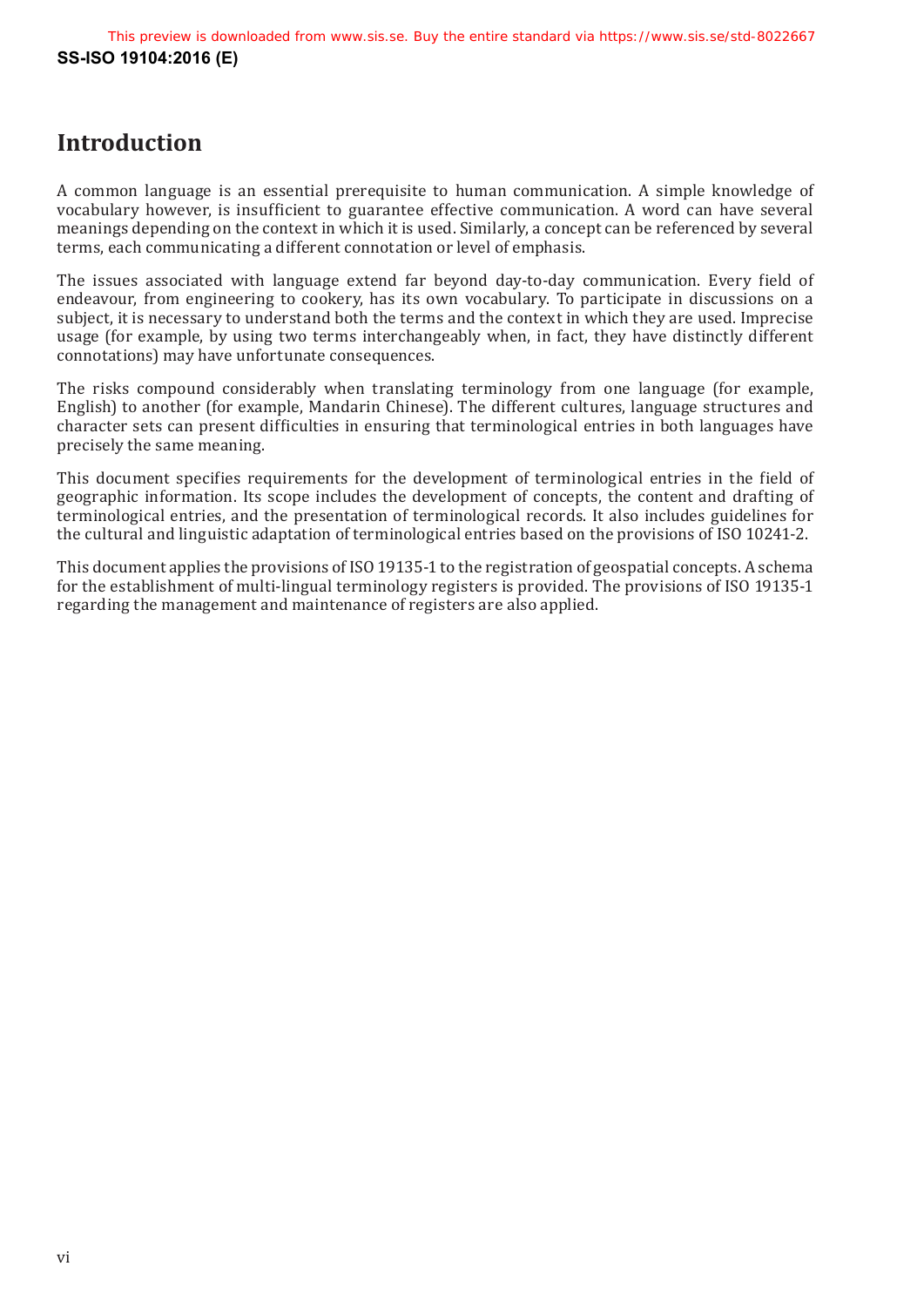### **Introduction**

A common language is an essential prerequisite to human communication. A simple knowledge of vocabulary however, is insufficient to guarantee effective communication. A word can have several meanings depending on the context in which it is used. Similarly, a concept can be referenced by several terms, each communicating a different connotation or level of emphasis.

The issues associated with language extend far beyond day-to-day communication. Every field of endeavour, from engineering to cookery, has its own vocabulary. To participate in discussions on a subject, it is necessary to understand both the terms and the context in which they are used. Imprecise usage (for example, by using two terms interchangeably when, in fact, they have distinctly different connotations) may have unfortunate consequences.

The risks compound considerably when translating terminology from one language (for example, English) to another (for example, Mandarin Chinese). The different cultures, language structures and character sets can present difficulties in ensuring that terminological entries in both languages have precisely the same meaning.

This document specifies requirements for the development of terminological entries in the field of geographic information. Its scope includes the development of concepts, the content and drafting of terminological entries, and the presentation of terminological records. It also includes guidelines for the cultural and linguistic adaptation of terminological entries based on the provisions of ISO 10241-2.

This document applies the provisions of ISO 19135-1 to the registration of geospatial concepts. A schema for the establishment of multi-lingual terminology registers is provided. The provisions of ISO 19135-1 regarding the management and maintenance of registers are also applied.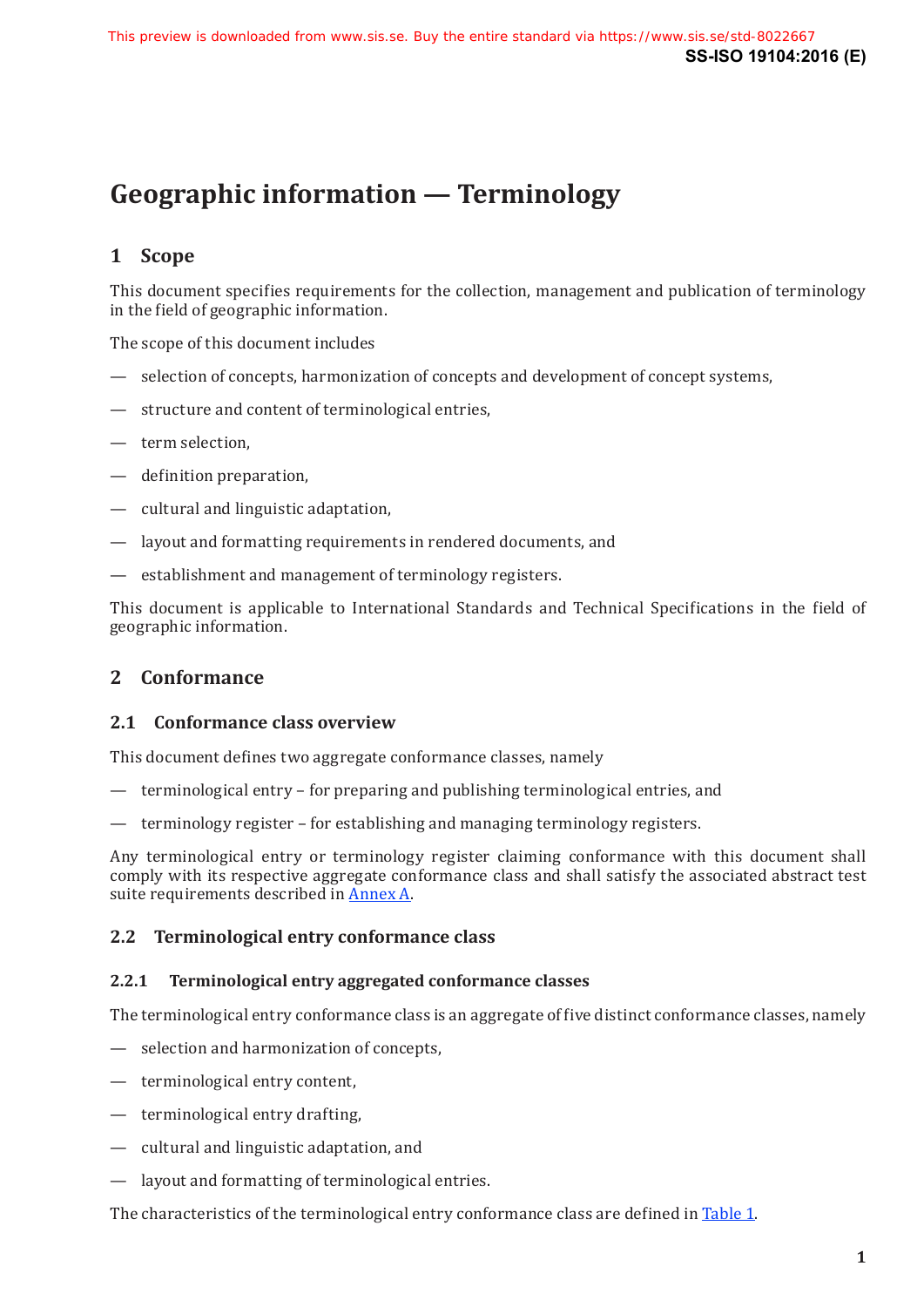## **Geographic information — Terminology**

### **1 Scope**

This document specifies requirements for the collection, management and publication of terminology in the field of geographic information.

The scope of this document includes

- selection of concepts, harmonization of concepts and development of concept systems,
- structure and content of terminological entries,
- term selection,
- definition preparation,
- cultural and linguistic adaptation,
- layout and formatting requirements in rendered documents, and
- establishment and management of terminology registers.

This document is applicable to International Standards and Technical Specifications in the field of geographic information.

#### **2 Conformance**

#### **2.1 Conformance class overview**

This document defines two aggregate conformance classes, namely

- terminological entry for preparing and publishing terminological entries, and
- terminology register for establishing and managing terminology registers.

Any terminological entry or terminology register claiming conformance with this document shall comply with its respective aggregate conformance class and shall satisfy the associated abstract test suite requirements described in Annex A.

#### **2.2 Terminological entry conformance class**

#### **2.2.1 Terminological entry aggregated conformance classes**

The terminological entry conformance class is an aggregate of five distinct conformance classes, namely

- selection and harmonization of concepts,
- terminological entry content,
- terminological entry drafting,
- cultural and linguistic adaptation, and
- layout and formatting of terminological entries.

The characteristics of the terminological entry conformance class are defined in Table 1.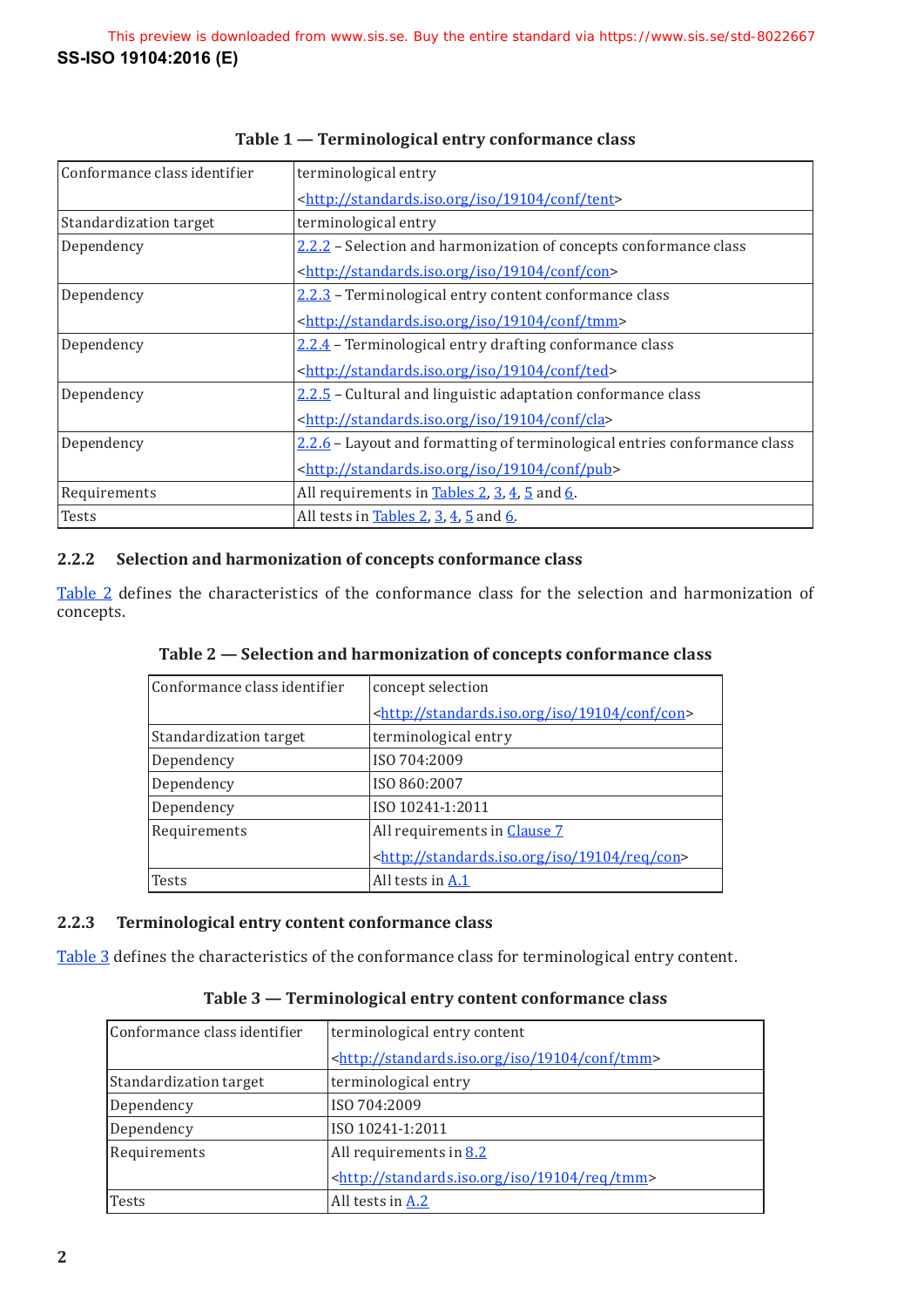| Conformance class identifier | terminological entry                                                      |  |
|------------------------------|---------------------------------------------------------------------------|--|
|                              | <http: 19104="" conf="" iso="" standards.iso.org="" tent=""></http:>      |  |
| Standardization target       | terminological entry                                                      |  |
| Dependency                   | 2.2.2 - Selection and harmonization of concepts conformance class         |  |
|                              | <http: 19104="" con="" conf="" iso="" standards.iso.org=""></http:>       |  |
| Dependency                   | 2.2.3 - Terminological entry content conformance class                    |  |
|                              | <http: 19104="" conf="" iso="" standards.iso.org="" tmm=""></http:>       |  |
| Dependency                   | 2.2.4 - Terminological entry drafting conformance class                   |  |
|                              | <http: 19104="" conf="" iso="" standards.iso.org="" ted=""></http:>       |  |
| Dependency                   | 2.2.5 - Cultural and linguistic adaptation conformance class              |  |
|                              | <http: 19104="" cla="" conf="" iso="" standards.iso.org=""></http:>       |  |
| Dependency                   | 2.2.6 - Layout and formatting of terminological entries conformance class |  |
|                              | <http: 19104="" conf="" iso="" pub="" standards.iso.org=""></http:>       |  |
| Requirements                 | All requirements in Tables 2, 3, 4, 5 and 6.                              |  |
| Tests                        | All tests in Tables 2, 3, 4, 5 and $6$ .                                  |  |

#### **Table 1 — Terminological entry conformance class**

#### **2.2.2 Selection and harmonization of concepts conformance class**

Table 2 defines the characteristics of the conformance class for the selection and harmonization of concepts.

| Conformance class identifier | concept selection                                                   |
|------------------------------|---------------------------------------------------------------------|
|                              | <http: 19104="" con="" conf="" iso="" standards.iso.org=""></http:> |
| Standardization target       | terminological entry                                                |
| Dependency                   | ISO 704:2009                                                        |
| Dependency                   | ISO 860:2007                                                        |
| Dependency                   | ISO 10241-1:2011                                                    |
| Requirements                 | All requirements in Clause 7                                        |
|                              | <http: 19104="" con="" iso="" req="" standards.iso.org=""></http:>  |
| <b>Tests</b>                 | All tests in <b>A.1</b>                                             |

#### **2.2.3 Terminological entry content conformance class**

Table 3 defines the characteristics of the conformance class for terminological entry content.

| Conformance class identifier | terminological entry content                                        |  |  |
|------------------------------|---------------------------------------------------------------------|--|--|
|                              | <http: 19104="" conf="" iso="" standards.iso.org="" tmm=""></http:> |  |  |
| Standardization target       | terminological entry                                                |  |  |
| Dependency                   | ISO 704:2009                                                        |  |  |
| Dependency                   | ISO 10241-1:2011                                                    |  |  |
| Requirements                 | All requirements in 8.2                                             |  |  |
|                              | <http: 19104="" iso="" req="" standards.iso.org="" tmm=""></http:>  |  |  |
| Tests                        | All tests in A.2                                                    |  |  |